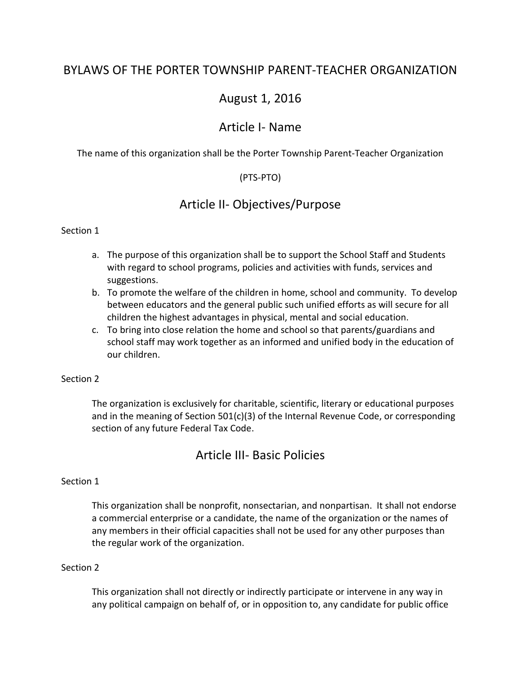## BYLAWS OF THE PORTER TOWNSHIP PARENT-TEACHER ORGANIZATION

## August 1, 2016

## Article I- Name

The name of this organization shall be the Porter Township Parent-Teacher Organization

### (PTS-PTO)

## Article II- Objectives/Purpose

#### Section 1

- a. The purpose of this organization shall be to support the School Staff and Students with regard to school programs, policies and activities with funds, services and suggestions.
- b. To promote the welfare of the children in home, school and community. To develop between educators and the general public such unified efforts as will secure for all children the highest advantages in physical, mental and social education.
- c. To bring into close relation the home and school so that parents/guardians and school staff may work together as an informed and unified body in the education of our children.

#### Section 2

The organization is exclusively for charitable, scientific, literary or educational purposes and in the meaning of Section 501(c)(3) of the Internal Revenue Code, or corresponding section of any future Federal Tax Code.

### Article III- Basic Policies

#### Section 1

This organization shall be nonprofit, nonsectarian, and nonpartisan. It shall not endorse a commercial enterprise or a candidate, the name of the organization or the names of any members in their official capacities shall not be used for any other purposes than the regular work of the organization.

#### Section 2

This organization shall not directly or indirectly participate or intervene in any way in any political campaign on behalf of, or in opposition to, any candidate for public office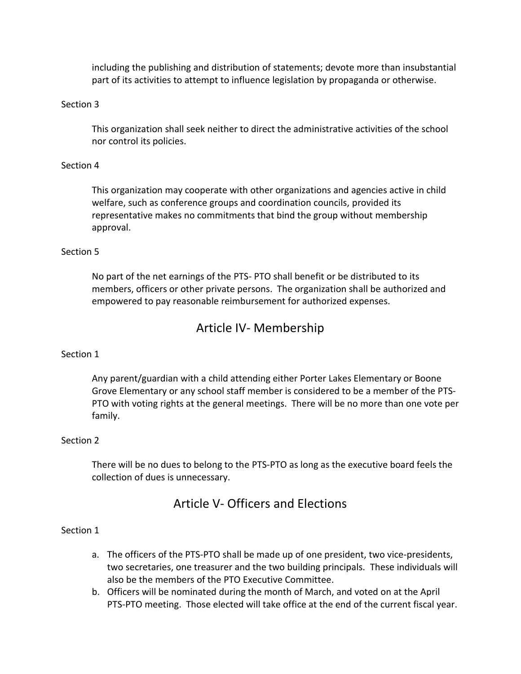including the publishing and distribution of statements; devote more than insubstantial part of its activities to attempt to influence legislation by propaganda or otherwise.

#### Section 3

This organization shall seek neither to direct the administrative activities of the school nor control its policies.

#### Section 4

This organization may cooperate with other organizations and agencies active in child welfare, such as conference groups and coordination councils, provided its representative makes no commitments that bind the group without membership approval.

#### Section 5

No part of the net earnings of the PTS- PTO shall benefit or be distributed to its members, officers or other private persons. The organization shall be authorized and empowered to pay reasonable reimbursement for authorized expenses.

## Article IV- Membership

#### Section 1

Any parent/guardian with a child attending either Porter Lakes Elementary or Boone Grove Elementary or any school staff member is considered to be a member of the PTS-PTO with voting rights at the general meetings. There will be no more than one vote per family.

#### Section 2

There will be no dues to belong to the PTS-PTO as long as the executive board feels the collection of dues is unnecessary.

## Article V- Officers and Elections

#### Section 1

- a. The officers of the PTS-PTO shall be made up of one president, two vice-presidents, two secretaries, one treasurer and the two building principals. These individuals will also be the members of the PTO Executive Committee.
- b. Officers will be nominated during the month of March, and voted on at the April PTS-PTO meeting. Those elected will take office at the end of the current fiscal year.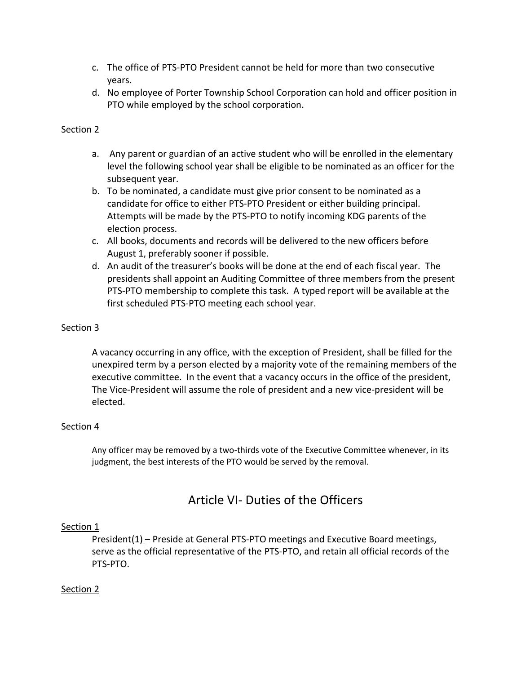- c. The office of PTS-PTO President cannot be held for more than two consecutive years.
- d. No employee of Porter Township School Corporation can hold and officer position in PTO while employed by the school corporation.

#### Section 2

- a. Any parent or guardian of an active student who will be enrolled in the elementary level the following school year shall be eligible to be nominated as an officer for the subsequent year.
- b. To be nominated, a candidate must give prior consent to be nominated as a candidate for office to either PTS-PTO President or either building principal. Attempts will be made by the PTS-PTO to notify incoming KDG parents of the election process.
- c. All books, documents and records will be delivered to the new officers before August 1, preferably sooner if possible.
- d. An audit of the treasurer's books will be done at the end of each fiscal year. The presidents shall appoint an Auditing Committee of three members from the present PTS-PTO membership to complete this task. A typed report will be available at the first scheduled PTS-PTO meeting each school year.

#### Section 3

A vacancy occurring in any office, with the exception of President, shall be filled for the unexpired term by a person elected by a majority vote of the remaining members of the executive committee. In the event that a vacancy occurs in the office of the president, The Vice-President will assume the role of president and a new vice-president will be elected.

#### Section 4

Any officer may be removed by a two-thirds vote of the Executive Committee whenever, in its judgment, the best interests of the PTO would be served by the removal.

# Article VI- Duties of the Officers

#### Section 1

President(1) – Preside at General PTS-PTO meetings and Executive Board meetings, serve as the official representative of the PTS-PTO, and retain all official records of the PTS-PTO.

#### Section 2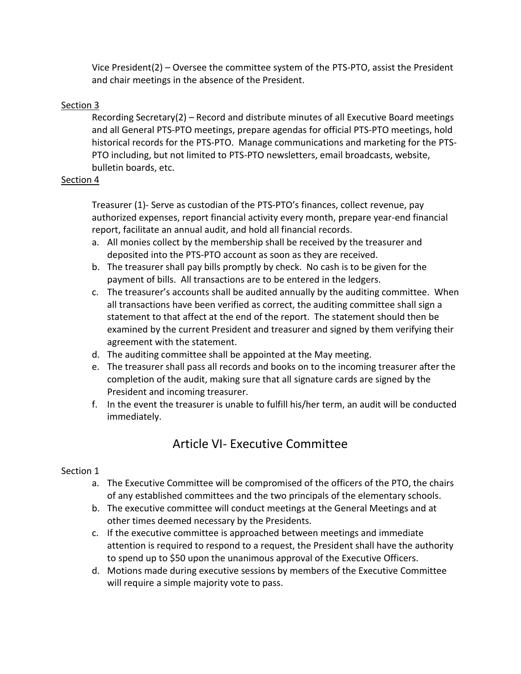Vice President(2) – Oversee the committee system of the PTS-PTO, assist the President and chair meetings in the absence of the President.

### Section 3

Recording Secretary(2) – Record and distribute minutes of all Executive Board meetings and all General PTS-PTO meetings, prepare agendas for official PTS-PTO meetings, hold historical records for the PTS-PTO. Manage communications and marketing for the PTS-PTO including, but not limited to PTS-PTO newsletters, email broadcasts, website, bulletin boards, etc.

### Section 4

Treasurer (1)- Serve as custodian of the PTS-PTO's finances, collect revenue, pay authorized expenses, report financial activity every month, prepare year-end financial report, facilitate an annual audit, and hold all financial records.

- a. All monies collect by the membership shall be received by the treasurer and deposited into the PTS-PTO account as soon as they are received.
- b. The treasurer shall pay bills promptly by check. No cash is to be given for the payment of bills. All transactions are to be entered in the ledgers.
- c. The treasurer's accounts shall be audited annually by the auditing committee. When all transactions have been verified as correct, the auditing committee shall sign a statement to that affect at the end of the report. The statement should then be examined by the current President and treasurer and signed by them verifying their agreement with the statement.
- d. The auditing committee shall be appointed at the May meeting.
- e. The treasurer shall pass all records and books on to the incoming treasurer after the completion of the audit, making sure that all signature cards are signed by the President and incoming treasurer.
- f. In the event the treasurer is unable to fulfill his/her term, an audit will be conducted immediately.

# Article VI- Executive Committee

### Section 1

- a. The Executive Committee will be compromised of the officers of the PTO, the chairs of any established committees and the two principals of the elementary schools.
- b. The executive committee will conduct meetings at the General Meetings and at other times deemed necessary by the Presidents.
- c. If the executive committee is approached between meetings and immediate attention is required to respond to a request, the President shall have the authority to spend up to \$50 upon the unanimous approval of the Executive Officers.
- d. Motions made during executive sessions by members of the Executive Committee will require a simple majority vote to pass.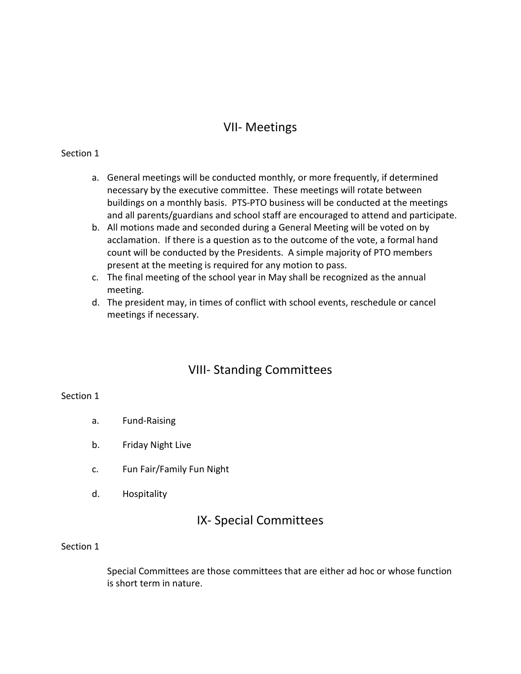# VII- Meetings

#### Section 1

- a. General meetings will be conducted monthly, or more frequently, if determined necessary by the executive committee. These meetings will rotate between buildings on a monthly basis. PTS-PTO business will be conducted at the meetings and all parents/guardians and school staff are encouraged to attend and participate.
- b. All motions made and seconded during a General Meeting will be voted on by acclamation. If there is a question as to the outcome of the vote, a formal hand count will be conducted by the Presidents. A simple majority of PTO members present at the meeting is required for any motion to pass.
- c. The final meeting of the school year in May shall be recognized as the annual meeting.
- d. The president may, in times of conflict with school events, reschedule or cancel meetings if necessary.

# VIII- Standing Committees

#### Section 1

- a. Fund-Raising
- b. Friday Night Live
- c. Fun Fair/Family Fun Night
- d. Hospitality

# IX- Special Committees

#### Section 1

Special Committees are those committees that are either ad hoc or whose function is short term in nature.